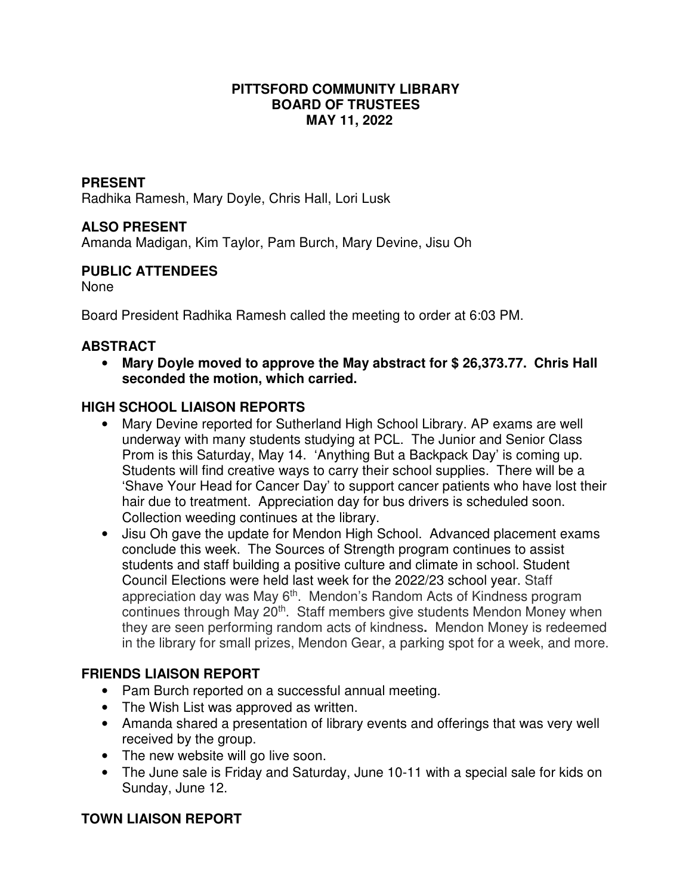#### **PITTSFORD COMMUNITY LIBRARY BOARD OF TRUSTEES MAY 11, 2022**

### **PRESENT**

Radhika Ramesh, Mary Doyle, Chris Hall, Lori Lusk

# **ALSO PRESENT**

Amanda Madigan, Kim Taylor, Pam Burch, Mary Devine, Jisu Oh

#### **PUBLIC ATTENDEES**

None

Board President Radhika Ramesh called the meeting to order at 6:03 PM.

#### **ABSTRACT**

• **Mary Doyle moved to approve the May abstract for \$ 26,373.77. Chris Hall seconded the motion, which carried.** 

# **HIGH SCHOOL LIAISON REPORTS**

- Mary Devine reported for Sutherland High School Library. AP exams are well underway with many students studying at PCL. The Junior and Senior Class Prom is this Saturday, May 14. 'Anything But a Backpack Day' is coming up. Students will find creative ways to carry their school supplies. There will be a 'Shave Your Head for Cancer Day' to support cancer patients who have lost their hair due to treatment. Appreciation day for bus drivers is scheduled soon. Collection weeding continues at the library.
- Jisu Oh gave the update for Mendon High School. Advanced placement exams conclude this week. The Sources of Strength program continues to assist students and staff building a positive culture and climate in school. Student Council Elections were held last week for the 2022/23 school year. Staff appreciation day was May  $6<sup>th</sup>$ . Mendon's Random Acts of Kindness program continues through May 20<sup>th</sup>. Staff members give students Mendon Money when they are seen performing random acts of kindness**.** Mendon Money is redeemed in the library for small prizes, Mendon Gear, a parking spot for a week, and more.

#### **FRIENDS LIAISON REPORT**

- Pam Burch reported on a successful annual meeting.
- The Wish List was approved as written.
- Amanda shared a presentation of library events and offerings that was very well received by the group.
- The new website will go live soon.
- The June sale is Friday and Saturday, June 10-11 with a special sale for kids on Sunday, June 12.

# **TOWN LIAISON REPORT**